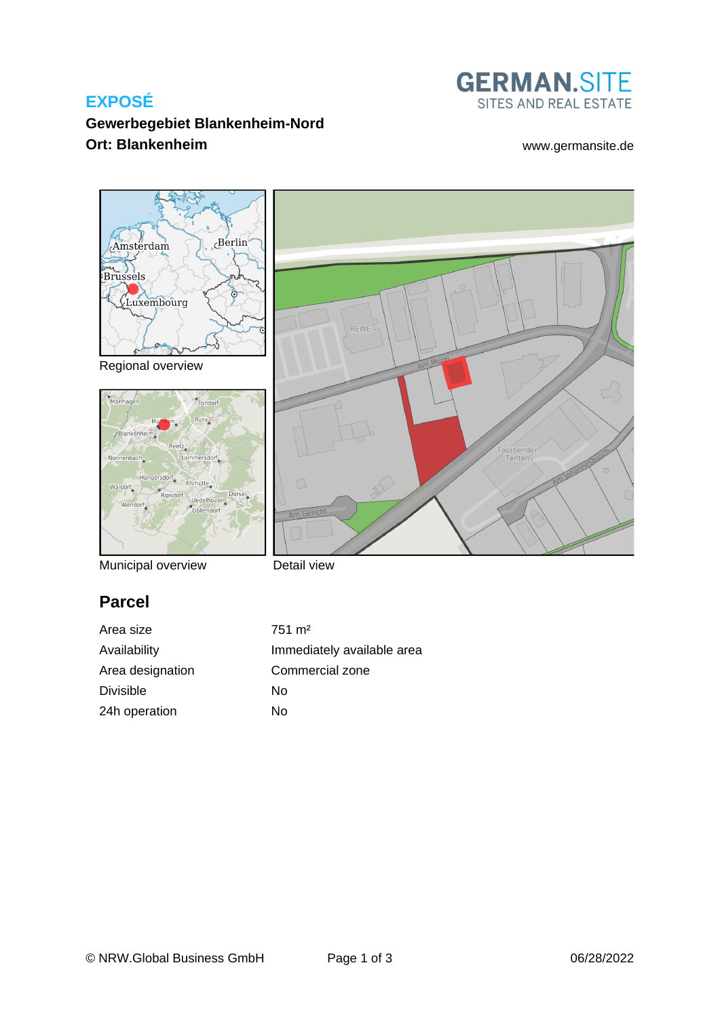# **EXPOSÉ**



assbender<br>Tenten

# **Gewerbegebiet Blankenheim-Nord Ort: Blankenheim** [www.germansite.de](http://www.germansite.de)



Regional overview



Municipal overview

Detail view

# **Parcel**

Area size 751 m<sup>2</sup> Area designation Commercial zone Divisible No 24h operation No

Availability **Immediately** available area

REWE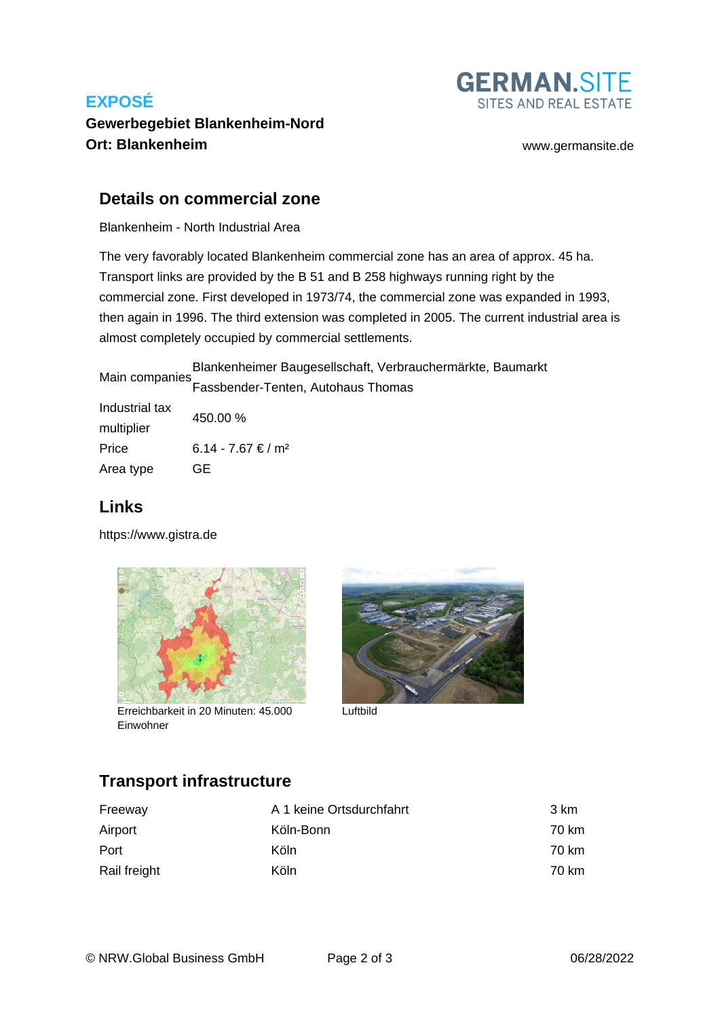# **EXPOSÉ**



## **Gewerbegebiet Blankenheim-Nord Ort: Blankenheim** [www.germansite.de](http://www.germansite.de)

### **Details on commercial zone**

Blankenheim - North Industrial Area

The very favorably located Blankenheim commercial zone has an area of approx. 45 ha. Transport links are provided by the B 51 and B 258 highways running right by the commercial zone. First developed in 1973/74, the commercial zone was expanded in 1993, then again in 1996. The third extension was completed in 2005. The current industrial area is almost completely occupied by commercial settlements.

Main companies Blankenheimer Baugesellschaft, Verbrauchermärkte, Baumarkt Fassbender-Tenten, Autohaus Thomas

| Industrial tax | 450.00 %                       |  |
|----------------|--------------------------------|--|
| multiplier     |                                |  |
| Price          | 6.14 - 7.67 € / m <sup>2</sup> |  |
| Area type      | GE                             |  |

## **Links**

<https://www.gistra.de>



Erreichbarkeit in 20 Minuten: 45.000 Luftbild Einwohner



# **Transport infrastructure**

| Freeway      | A 1 keine Ortsdurchfahrt | 3 km  |
|--------------|--------------------------|-------|
| Airport      | Köln-Bonn                | 70 km |
| Port         | Köln                     | 70 km |
| Rail freight | Köln                     | 70 km |